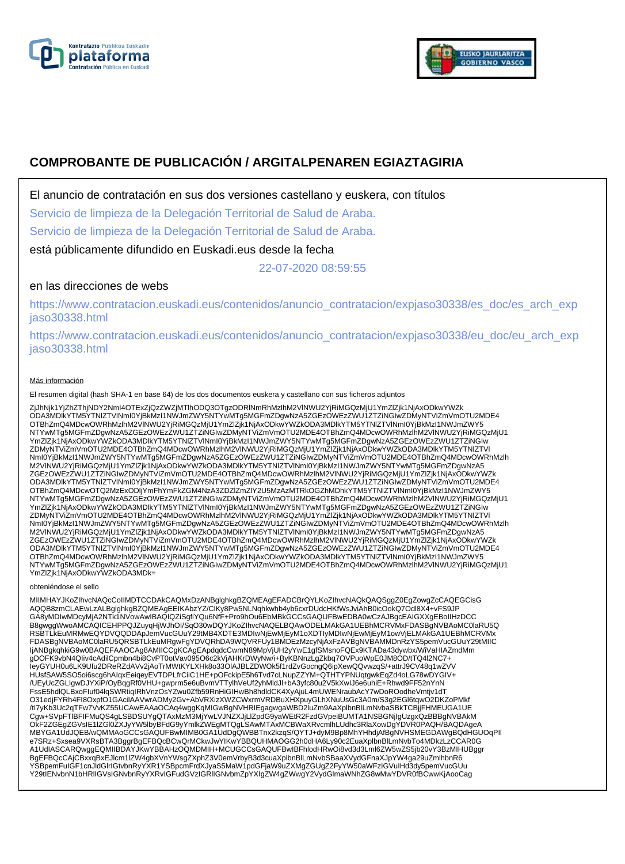



# **COMPROBANTE DE PUBLICACIÓN / ARGITALPENAREN EGIAZTAGIRIA**

El anuncio de contratación en sus dos versiones castellano y euskera, con títulos

Servicio de limpieza de la Delegación Territorial de Salud de Araba.

Servicio de limpieza de la Delegación Territorial de Salud de Araba.

está públicamente difundido en Euskadi.eus desde la fecha

22-07-2020 08:59:55

# en las direcciones de webs

https://www.contratacion.euskadi.eus/contenidos/anuncio\_contratacion/expjaso30338/es\_doc/es\_arch\_exp jaso30338.html

https://www.contratacion.euskadi.eus/contenidos/anuncio\_contratacion/expjaso30338/eu\_doc/eu\_arch\_exp jaso30338.html

### Más información

El resumen digital (hash SHA-1 en base 64) de los dos documentos euskera y castellano con sus ficheros adjuntos

ZjJhNjk1YjZhZThjNDY2NmI4OTExZjQzZWZjMTlhODQ3OTgzODRINmRhMzlhM2VlNWU2YjRiMGQzMjU1YmZlZjk1NjAxODkwYWZk<br>ODA3MDlkYTM5YTNIZTVlNmI0YjBkMzI1NWJmZWY5NTYwMTg5MGFmZDgwNzA5ZGEzOWEzZWU1ZTZiNGIwZDMyNTViZmVmOTU2MDE4 OTBhZmQ4MDcwOWRhMzlhM2VlNWU2YjRiMGQzMjU1YmZlZjk1NjAxODkwYWZkODA3MDlkYTM5YTNlZTVlNml0YjBkMzI1NWJmZWY5<br>NTYwMTg5MGFmZDgwNzA5ZGEzOWEzZWU1ZTZiNGIwZDMyNTViZmVmOTU2MDE4OTBhZmQ4MDcwOWRhMzlhM2VlNWU2YjRiMGQzMjU1 YmZlZjk1NjAxODkwYWZkODA3MDlkYTM5YTNIZTVlNmI0YjBkMzI1NWJmZWY5NTYwMTg5MGFmZDgwNzA5ZGEzOWEzZWU1ZTZiNGIw<br>ZDMyNTViZmVmOTU2MDE4OTBhZmQ4MDcwOWRhMzlhM2VlNWU2YjRiMGQzMjU1YmZlZjk1NjAxODkwYWZkODA3MDlkYTM5YTNIZTVI NmI0YjBkMzI1NWJmZWY5NTYwMTg5MGFmZDgwNzA5ZGEzOWEzZWU1ZTZiNGIwZDMyNTViZmVmOTU2MDE4OTBhZmQ4MDcwOWRhMzlh M2VlNWU2YjRiMGQzMjU1YmZlZjk1NjAxODkwYWZkODA3MDlkYTM5YTNlZTVlNmI0YjBkMzI1NWJmZWY5NTYwMTg5MGFmZDgwNzA5 ZGEzOWEzZWU1ZTZiNGIwZDMyNTViZmVmOTU2MDE4OTBhZmQ4MDcwOWRhMzlhM2VINWU2YjRiMGQzMjU1YmZlZjk1NjAxODkwYWZk<br>ODA3MDlkYTM5YTNIZTVINmI0YjBkMzI1NWJmZWY5NTYwMTg5MGFmZDgwNzA5ZGEzOWEzZWU1ZTZiNGIwZDMyNTViZmVmOTU2MDE4 OTBhZmQ4MDcwOTQ2MzExODljYmFhYmFkZGM4NzA3ZDZlZmZlY2U5MzAzMTRkOGZhMDhkYTM5YTNlZTVlNmI0YjBkMzI1NWJmZWY5 NTYwMTg5MGFmZDgwNzA5ZGEzOWEzZWU1ZTZiNGIwZDMyNTViZmVmOTU2MDE4OTBhZmQ4MDcwOWRhMzlhM2VlNWU2YjRiMGQzMjU1 YmZlZjk1NjAxODkwYWZkODA3MDlkYTM5YTNIZTVlNmI0YjBkMzI1NWJmZWY5NTYwMTg5MGFmZDgwNzA5ZGEzOWEzZWU1ZTZiNGIw<br>ZDMyNTViZmVmOTU2MDE4OTBhZmQ4MDcwOWRhMzlhM2VlNWU2YjRiMGQzMjU1YmZlZjk1NjAxODkwYWZkODA3MDlkYTM5YTNIZTVI NmI0YjBkMzI1NWJmZWY5NTYwMTg5MGFmZDgwNzA5ZGEzOWEzZWU1ZTZiNGIwZDMyNTViZmVmOTU2MDE4OTBhZmQ4MDcwOWRhMzlh M2VlNWU2YjRiMGQzMjU1YmZlZjk1NjAxODkwYWZkODA3MDlkYTM5YTNlZTVlNmI0YjBkMzI1NWJmZWY5NTYwMTg5MGFmZDgwNzA5 ZGEzOWEzZWU1ZTZiNGIwZDMyNTViZmVmOTU2MDE4OTBhZmQ4MDcwOWRhMzlhM2VINWU2YjRiMGQzMjU1YmZlZjk1NjAxODkwYWZk<br>ODA3MDlkYTM5YTNIZTVINmI0YjBkMzI1NWJmZWY5NTYwMTg5MGFmZDgwNzA5ZGEzOWEzZWU1ZTZiNGIwZDMyNTViZmVmOTU2MDE4 OTBhZmQ4MDcwOWRhMzlhM2VlNWU2YjRiMGQzMjU1YmZlZjk1NjAxODkwYWZkODA3MDlkYTM5YTNlZTVlNml0YjBkMzI1NWJmZWY5<br>NTYwMTg5MGFmZDgwNzA5ZGEzOWEzZWU1ZTZiNGIwZDMyNTViZmVmOTU2MDE4OTBhZmQ4MDcwOWRhMzlhM2VlNWU2YjRiMGQzMjU1 YmZlZjk1NjAxODkwYWZkODA3MDk=

#### obteniéndose el sello

MIIMHAYJKoZIhvcNAQcCoIIMDTCCDAkCAQMxDzANBglghkgBZQMEAgEFADCBrQYLKoZIhvcNAQkQAQSggZ0EgZowgZcCAQEGCisG<br>AQQB8zmCLAEwLzALBglghkgBZQMEAgEEIKAbzYZ/ClKy8Pw5NLNqhkwhb4yb6cxrDUdcHKfWsJviAhB0icOokQ7Odl8X4+vFS9JP GA8yMDIwMDcyMjA2NTk1NVowAwIBAQIQZiSgfiYQu6NfF+Pro9hOu6EbMBkGCCsGAQUFBwEDBA0wCzAJBgcEAIGXXgEBoIIHzDCC B8gwggWwoAMCAQICEHPPQJZuyqHjWJhOI/SqO30wDQYJKoZIhvcNAQELBQAwODELMAkGA1UEBhMCRVMxFDASBgNVBAoMC0laRU5Q RSBTLkEuMRMwEQYDVQQDDApJemVucGUuY29tMB4XDTE3MDIwNjEwMjEyM1oXDTIyMDIwNjEwMjEyM1owVjELMAkGA1UEBhMCRVMx FDASBgNVBAoMC0laRU5QRSBTLkEuMRgwFgYDVQRhDA9WQVRFUy1BMDEzMzcyNjAxFzAVBgNVBAMMDnRzYS5pemVucGUuY29tMIIC ljANBgkqhkiG9w0BAQEFAAOCAg8AMIICCgKCAgEApdqdcCwmN89MpVjUH2yYwE1gfSMsnoFQEx9KTADa43dywbx/WiVaHIAZmdMm<br>gDOFK9vbN4Qliv4cAdilCpmbn4bi8CvPT0otVav095O6c2kVjAHKrDWyNw/i+ByKBNnzLgZkbq7OVPuoWpE0JM8OD/tTQ4l2NC7+ leyGYUH0u6LK9Ufu2DReRZdAVv2jAoTrMWtKYLXHk8o33OlAJBLZDWOk5f1rdZvGocngQ6ipXewQQvwzqS/+attrJ9CV48q1wZVV<br>HUsfSAW5SO5oi6scg6hAIqxEeiqeyEVTDPLfrCiiC1HE+pOFckipE5h6Tvd7cLNupZZYM+QTHTYPNUqtgwkEqZd4oLG78wDYGIV+ /UEyUcZGLIgwDJYXiP/OyBqgRf0VHU+gwprm5e6uBvmVTTylhVeUf2yhMldJl+bA3yfc80u2V5kXwIJ6e6uhiE+Rhwd9FF52nYnN FssE5hdlQLBxoFIuf04lqSWRtiqIRhVnzOsYZwu0Zfb59RnHiGIHwBh8hdldCK4XyAjuL4mUWENraubAcY7wDoROodheVmtjv1dT O31edjFYRh4FI8OxpfO1GAcilAAVwrADMy2Gv+AbVRXizXWZCWxrmVRDBuXHXpuyGLhXNuUsGc3A0m/S3g2EGl6tqwO2DKZoPMkf /tI7yKb3Uc2qTFw7VvKZ55UCAwEAAaOCAq4wggKqMIGwBgNVHRIEgagwgaWBD2luZm9AaXplbnBlLmNvbaSBkTCBjjFHMEUGA1UE Cgw+SVpFTIBFIFMuQS4gLSBDSUYgQTAxMzM3MjYwLVJNZXJjLIZpdG9yaWEtR2FzdGVpeiBUMTA1NSBGNjIgUzgxQzBBBgNVBAkM<br>OkF2ZGEgZGVsIE1IZGI0ZXJyYW5IbyBFdG9yYmlkZWEgMTQgLSAwMTAxMCBWaXRvcmlhLUdhc3RlaXowDgYDVR0PAQH/BAQDAgeA<br>MBYGA1UdJQEB/wQMMAoG A1UdIASCARQwggEQMIIBDAYJKwYBBAHzOQMDMIH+MCUGCCsGAQUFBwIBFhlodHRwOi8vd3d3Lml6ZW5wZS5jb20vY3BzMIHUBggr BgEFBQcCAjCBxxqBxEJlcm1lZW4gbXVnYWsgZXphZ3V0emVrbyB3d3cuaXplbnBlLmNvbSBaaXVydGFnaXJpYW4ga29uZmlhbnR6 YSBpemFuIGF1cnJldGlrIGtvbnRyYXR1YSBpcmFrdXJyaS5MaW1pdGFjaW9uZXMgZGUgZ2FyYW50aWFzIGVuIHd3dy5pemVucGUu Y29tIENvbnN1bHRlIGVsIGNvbnRyYXRvIGFudGVzIGRlIGNvbmZpYXIgZW4gZWwgY2VydGlmaWNhZG8wMwYDVR0fBCwwKjAooCag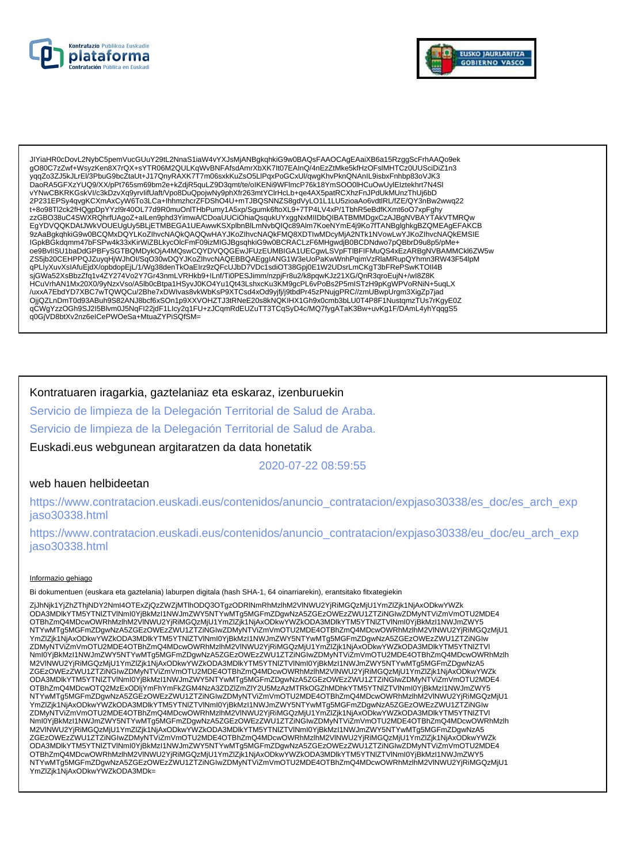



JIYiaHR0cDovL2NybC5pemVucGUuY29tL2NnaS1iaW4vYXJsMjANBgkqhkiG9w0BAQsFAAOCAgEAaiXB6a15RzggScFrhAAQo9ek gO80C7zZwf+WsyzKen8X7rQX+sYTR06M2QULKqWvBNFAfsdAmrXbXK7lt07EAInQ/4nEzZtMke5kfHzOFsiMHTCz0UUSciDiZ1n3 yqqZo3ZJ5kJLrEl/3PbuG9bcZtaUt+J17QnyRAXK7T7m06sxkKuZsO5LlPqxPoGCxUl/qwgKhvPknQNAnIL9isbxFnhbp83oVJK3 .<br>DaoRA5GFXzYUQ9/XX/pPt765sm69bm2e+kZdjR5quLZ9D3qmt/te/olKENi9WFlmcP76k18YmSOO0lHCuOwUylEIztekhrt7N4Sl vYNwCBKRKGskVI/c3kDzvXq9yrvlifUaft/Vpo8DuQpojwNy9phXfr263mtYClrHcLb+qe4AX5patRCXhzFnJPdUkMUnzThUj6bD 2P231EPSy4qvgKCXmAxCyW6To3LCa+lhhmzhcrZFDShO4U+mTJBQSNNZS8gdVyLO1L1LU5zioaAo6vdtlRL/fZE/QY3nBw2wwq22 t+8o98Tl2ck2fHQgpDpYYzl9r40OL77d9R0muOnlTHbPumy1A5xp/Sgumk6ftoXL9+7TP4LV4xP/1TbhR5eBdfKXmt6oO7xpFghy zzGBO38uC4SWXRQhrfUAgoZ+aILen9phd3YimwA/CDoaUUCiOhiaQsqukUYxggNxMIIDbQIBATBMMDgxCzAJBgNVBAYTAkVTMRQw EgYDVQQKDAtJWkVOUEUgUy5BLjETMBEGA1UEAwwKSXplbnBlLmNvbQlQc89Alm7KoeNYmE4j9Ko7fTANBglghkgBZQMEAgEFAKCB<br>9zAaBgkqhkiG9w0BCQMxDQYLKoZlhvcNAQkQAQQwHAYJKoZlhvcNAQkFMQ8XDTIwMDcyMjA2NTk1NVowLwYJKoZlhvcNAQkEMSIE ZS5jb20CEHPPQJZuyqHjWJhOI/SqO30wDQYJKoZIhvcNAQEBBQAEggIANG1W3eUoPaKwWnhPqimVzRlaMRupQYhmn3RW43F54lpM qPLİyXuvXsIAfuEjdX/opbdopEjL/1/Wg38denTkOaEIrz9zQFcUJbD7VDc1sdiOT38Gpj0E1W2UDsrLmCKgT3bFRePSwKTOII4B sjGWa52XsBbzZfq1v4ZY274Vo2Y7Gr43nmLVRHkb9+ILnf/Ti0PESJimm/nzpjFr8u2/k8pqwKJz21XG/QnR3qroEujN+/wl8Z8K<br>HCuVrhAN1Mx20X0/9yNzxVso/A5lb0cBtpa1HSyvJ0KO4Yu1Qt43LshxcKu3KM9gcPL6vPoBs2P5mlSTzH9pKgWPVoRNiN+5uqLX on metal metal on a construction of the state of the state of the state of the state of the state of the state of the state of the state of the state of the state of the state of the state of the state of the state of th qCWgYzzOGh9SJ2I5Blvm0J5NqFI22jdF1Llcy2q1FU+zJCqmRdEUZuTT3TCqSyD4c/MQ7fygATaK3Bw+uvKg1F/DAmL4yhYqqgS5 q0GjVD8btXv2nz6eICePWOeSa+MtuaZYPiSQfSM=

## Kontratuaren iragarkia, gaztelaniaz eta eskaraz, izenburuekin

Servicio de limpieza de la Delegación Territorial de Salud de Araba.

Servicio de limpieza de la Delegación Territorial de Salud de Araba.

Euskadi.eus webgunean argitaratzen da data honetatik

2020-07-22 08:59:55

### web hauen helbideetan

https://www.contratacion.euskadi.eus/contenidos/anuncio\_contratacion/expjaso30338/es\_doc/es\_arch\_exp jaso30338.html

https://www.contratacion.euskadi.eus/contenidos/anuncio\_contratacion/expjaso30338/eu\_doc/eu\_arch\_exp iaso30338.html

#### Informazio gehiago

Bi dokumentuen (euskara eta gaztelania) laburpen digitala (hash SHA-1, 64 oinarriarekin), erantsitako fitxategiekin

ZjJhNjk1YjZhZThjNDY2NmI4OTExZjQzZWZjMTlhODQ3OTqzODRlNmRhMzlhM2VlNWU2YjRiMGQzMjU1YmZlZjk1NjAxODkwYWZk ODA3MDIkYTM5YTNIZTVINmI0YjBkMzI1NWJmZWY5NTYwMTg5MGFmZDgwNzA5ZGEzOWEzZWU1ZTZiNGIwZDMyNTViZmVmOTU2MDE4 OTBhZmQ4MDcwOWRhMzlhM2VINWU2YjRiMGQzMjU1YmZlZjK1NjAxODkwYWZkODA3MDlkYTM5YTNIZTVINmI0YjBkMzl1NWJmZWY5 NTYwMTg5MGFmZDgwNzA5ZGEzOWEzZWU1ZTZiŃGIwZDMyNTViZmVmOTU2MDE4OTBhZmQ4MDcwOWRhMzIhM2VINWU2YjRiMGQzMjU1 YmZlZjk1NjAxODkwYWZkODA3MDlkYTM5YTNIZTVINmI0YjBkMzl1NWJmZWY5NTYwMTg5MGFmZDgwNzA5ZGEzOWEzZWU1ZTZiNGIw ZDMyNTViZmVmOTU2MDE4OTBhZmQ4MDcwOWRhMzlhM2VlNWU2YjRiMGQzMjU1YmZlZjk1NjAxODkwYWZkODA3MDlkYTM5YTNIZTVl<br>Nml0YjBkMzl1NWJmZWY5NTYwMTg5MGFmZDgwNzA5ZGEzOWEzZWU1ZTZiNGIwZDMyNTViZmVmOTU2MDE4OTBhZmQ4MDcwOWRhMzlh M2VINWU2YiRiMGQzMiU1YmZIZik1NjAxODkwYWZkODA3MDlkYTM5YTNIZTVlNml0YjBkMzI1NWJmZWY5NTYwMTg5MGFmZDgwNzA5 ZGEZOWEZZWU1ZTZINGIWZDMyNTViZmVmOTU2MDE4OTBhZmQ4MDcwOWRhMzIhM2VINWU2YjRiMGQzMjU1YmZJZik1NjAxODkwYWZk ODA3MDlkYTM5YTNIZTVINml0YjBkMzI1NWJmZWY5NTYwMTg5MGFmZDgwNzA5ZGEzOWEzZWU1ZTZiNGIwZDMyNTViZmVmOTU2MDE4 OTBhZmQ4MDcwOTQ2MzExODIjYmFhYmFkZGM4NzA3ZDZIZmZIY2U5MzAzMTRkOGZhMDhkYTM5YTNIZTVINmI0YjBkMzI1NWJmZWY5 NTYwMTg5MGFmZDgwNzA5ZGÉzOWEzZWU1ZTZiNGIwZDMyNTViZmVmOTU2MDE4OTBhZmQ4MDcwOWRhMzlhM2VINWU2YjRiMGQzMjU1 YmZlZjk1NjAxODkwYWZkODA3MDlkYTM5YTNIZTVINmI0YjBkMzl1NWJmZWY5NTYwMTg5MGFmZDgwNzA5ZGEzOWEzZWU1ZTZiNGIw ZDMyNTViZmVmOTU2MDE4OTBhZmQ4MDcwOWRhMzIhM2VlNWU2YjRiMGQzMjU1YmZlZjk1NjAxODkwYWZkODA3MDlkYTM5YTNIZTVl<br>Nml0YjBkMzI1NWJmZWY5NTYwMTg5MGFmZDgwNzA5ZGEzOWEzZWU1ZTZiNGIwZDMyNTViZmVmOTU2MDE4OTBhZmQ4MDcwOWRhMzIh<br>M2VlNWU2YjRiMGQzMjU1 ZGEZOWEZZWU1ZTZINGIWZDMyNTViZmVmOTU2MDE4OTBhZmQ4MDcwOWRhMzIhM2VINWU2YjRiMGQzMjU1YmZlZjk1NjAxODkwYWZk ODA3MDIkYTM5YTNIZTVINmI0YjBkMzI1NWJmZWY5NTYwMTg5MGFmZDgwNzA5ZGEzOWEzZWU1ZTZiNGIwZDMyNTViZmVmOTU2MDE4 OTBhZmQ4MDcwOWRhMzlhM2VINWU2YjRiMGQzMjU1YmZlZjk1NjAxODkwYWZkODA3MDlkYTM5YTNIZTVINml0YjBkMzI1NWJmZWY5 NTYwMTg5MGFmZDgwNzA5ZGEzOWEzZWU1ZTZiŃGIwZDMyNTViZmVmOTU2MDE4OTBhZmQ4MDcwOWRhMzIhM2VINWU2YjRiMGQzMjU1 YmZlZik1NiAxODkwYWZkODA3MDk=